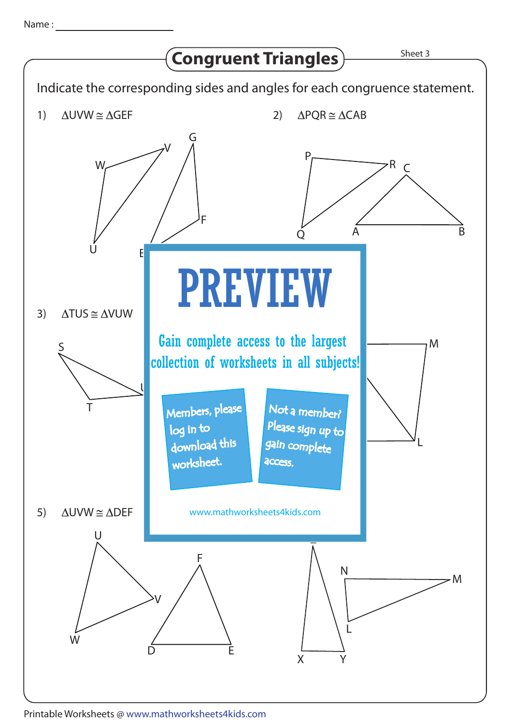